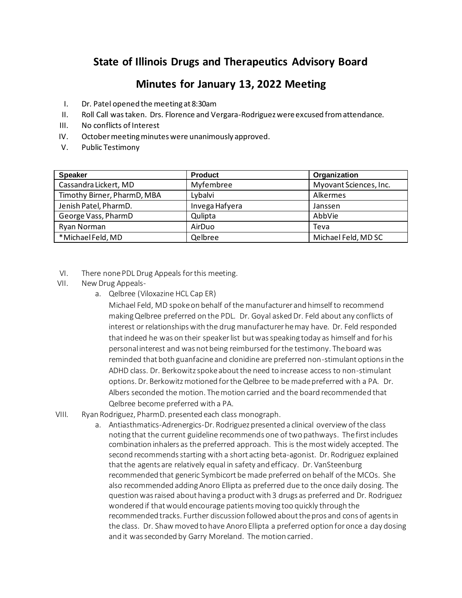# **State of Illinois Drugs and Therapeutics Advisory Board**

# **Minutes for January 13, 2022 Meeting**

- I. Dr. Patel opened the meeting at 8:30am
- II. Roll Call was taken. Drs. Florence and Vergara-Rodriguez were excused from attendance.
- III. No conflicts of Interest
- IV. October meeting minutes were unanimously approved.
- V. Public Testimony

| <b>Speaker</b>              | <b>Product</b> | Organization           |
|-----------------------------|----------------|------------------------|
| Cassandra Lickert, MD       | Myfembree      | Myovant Sciences, Inc. |
| Timothy Birner, PharmD, MBA | Lybalvi        | Alkermes               |
| Jenish Patel, PharmD.       | Invega Hafyera | Janssen                |
| George Vass, PharmD         | Qulipta        | AbbVie                 |
| Ryan Norman                 | AirDuo         | Teva                   |
| *Michael Feld, MD           | Qelbree        | Michael Feld, MD SC    |

- VI. There none PDL Drug Appeals for this meeting.
- VII. New Drug Appeals
	- a. Qelbree (Viloxazine HCL Cap ER)

Michael Feld, MD spoke on behalf of the manufacturer and himself to recommend making Qelbree preferred on the PDL. Dr. Goyal asked Dr. Feld about any conflicts of interest or relationships with the drug manufacturer he may have. Dr. Feld responded that indeed he was on their speaker list but was speaking today as himself and for his personal interest and was not being reimbursed for the testimony. The board was reminded that both guanfacine and clonidine are preferred non-stimulant options in the ADHD class. Dr. Berkowitz spoke about the need to increase access to non-stimulant options. Dr. Berkowitz motioned for the Qelbree to be made preferred with a PA. Dr. Albers seconded the motion. The motion carried and the board recommended that Qelbree become preferred with a PA.

- VIII. Ryan Rodriguez, PharmD. presented each class monograph.
	- a. Antiasthmatics-Adrenergics-Dr. Rodriguez presented a clinical overview of the class noting that the current guideline recommends one of two pathways. The first includes combination inhalers as the preferred approach. This is the most widely accepted. The second recommends starting with a short acting beta-agonist. Dr. Rodriguez explained that the agents are relatively equal in safety and efficacy. Dr. VanSteenburg recommended that generic Symbicort be made preferred on behalf of the MCOs. She also recommended adding Anoro Ellipta as preferred due to the once daily dosing. The question was raised about having a product with 3 drugs as preferred and Dr. Rodriguez wondered if that would encourage patients moving too quickly through the recommended tracks. Further discussion followed about the pros and cons of agents in the class. Dr. Shaw moved to have Anoro Ellipta a preferred option for once a day dosing and it was seconded by Garry Moreland. The motion carried.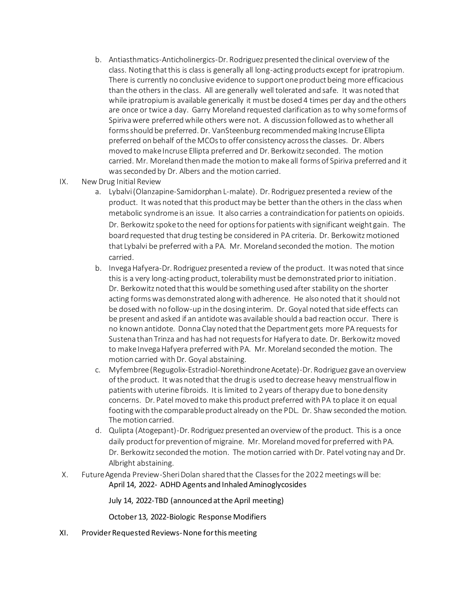- b. Antiasthmatics-Anticholinergics-Dr. Rodriguez presented the clinical overview of the class. Noting that this is class is generally all long-acting products except for ipratropium. There is currently no conclusive evidence to support one product being more efficacious than the others in the class. All are generally well tolerated and safe. It was noted that while ipratropium is available generically it must be dosed 4 times per day and the others are once or twice a day. Garry Moreland requested clarification as to why someforms of Spiriva were preferred while others were not. A discussion followed as to whether all forms should be preferred. Dr. VanSteenburg recommended making Incruse Ellipta preferred on behalf of the MCOs to offer consistency across the classes. Dr. Albers moved to make Incruse Ellipta preferred and Dr. Berkowitz seconded. The motion carried. Mr. Moreland then made the motion to make all forms of Spiriva preferred and it was seconded by Dr. Albers and the motion carried.
- IX. New Drug Initial Review
	- a. Lybalvi (Olanzapine-Samidorphan L-malate). Dr. Rodriguez presented a review of the product. It was noted that this product may be better than the others in the class when metabolic syndrome is an issue. It also carries a contraindication for patients on opioids. Dr. Berkowitz spoke to the need for options for patients with significant weight gain. The board requested that drug testing be considered in PA criteria. Dr. Berkowitz motioned that Lybalvi be preferred with a PA. Mr. Moreland seconded the motion. The motion carried.
	- b. Invega Hafyera-Dr. Rodriguez presented a review of the product. It was noted that since this is a very long-acting product, tolerability must be demonstrated prior to initiation. Dr. Berkowitz noted that this would be something used after stability on the shorter acting forms was demonstrated along with adherence. He also noted that it should not be dosed with no follow-up in the dosing interim. Dr. Goyal noted that side effects can be present and asked if an antidote was available should a bad reaction occur. There is no known antidote. Donna Clay noted that the Department gets more PA requests for Sustena than Trinza and has had not requests for Hafyera to date. Dr. Berkowitz moved to make Invega Hafyera preferred with PA. Mr. Moreland seconded the motion. The motion carried with Dr. Goyal abstaining.
	- c. Myfembree (Regugolix-Estradiol-Norethindrone Acetate)-Dr. Rodriguez gave an overview of the product. It was noted that the drug is used to decrease heavy menstrual flow in patients with uterine fibroids. It is limited to 2 years of therapy due to bone density concerns. Dr. Patel moved to make this product preferred with PA to place it on equal footing with the comparable product already on the PDL. Dr. Shaw seconded the motion. The motion carried.
	- d. Qulipta (Atogepant)-Dr. Rodriguez presented an overview of the product. This is a once daily product for prevention of migraine. Mr. Moreland moved for preferred with PA. Dr. Berkowitz seconded the motion. The motion carried with Dr. Patel voting nay and Dr. Albright abstaining.
- X. Future Agenda Preview-Sheri Dolan shared that the Classesfor the 2022 meetings will be: April 14, 2022- ADHD Agents and Inhaled Aminoglycosides

July 14, 2022-TBD (announced at the April meeting)

October 13, 2022-Biologic Response Modifiers

XI. Provider Requested Reviews-None for this meeting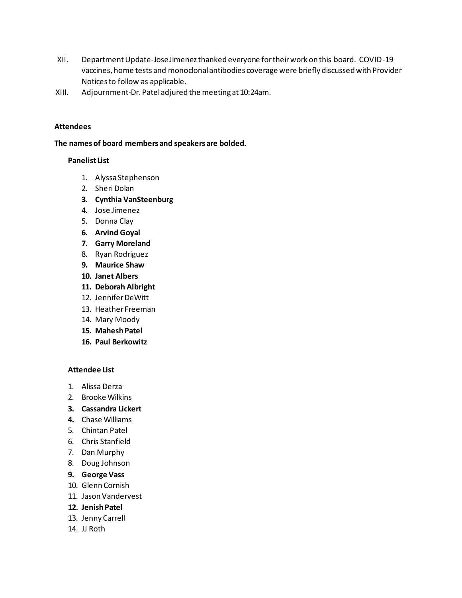- XII. Department Update-Jose Jimenez thanked everyone for their work on this board. COVID-19 vaccines, home tests and monoclonal antibodies coverage were briefly discussed with Provider Notices to follow as applicable.
- XIII. Adjournment-Dr. Pateladjured the meeting at 10:24am.

### **Attendees**

**The names of board members and speakers are bolded.**

#### **Panelist List**

- 1. Alyssa Stephenson
- 2. Sheri Dolan
- **3. Cynthia VanSteenburg**
- 4. Jose Jimenez
- 5. Donna Clay
- **6. Arvind Goyal**
- **7. Garry Moreland**
- 8. Ryan Rodriguez
- **9. Maurice Shaw**
- **10. Janet Albers**
- **11. Deborah Albright**
- 12. Jennifer DeWitt
- 13. Heather Freeman
- 14. Mary Moody
- **15. Mahesh Patel**
- **16. Paul Berkowitz**

### **Attendee List**

- 1. Alissa Derza
- 2. Brooke Wilkins
- **3. Cassandra Lickert**
- **4.** Chase Williams
- 5. Chintan Patel
- 6. Chris Stanfield
- 7. Dan Murphy
- 8. Doug Johnson
- **9. George Vass**
- 10. Glenn Cornish
- 11. Jason Vandervest
- **12. Jenish Patel**
- 13. Jenny Carrell
- 14. JJ Roth